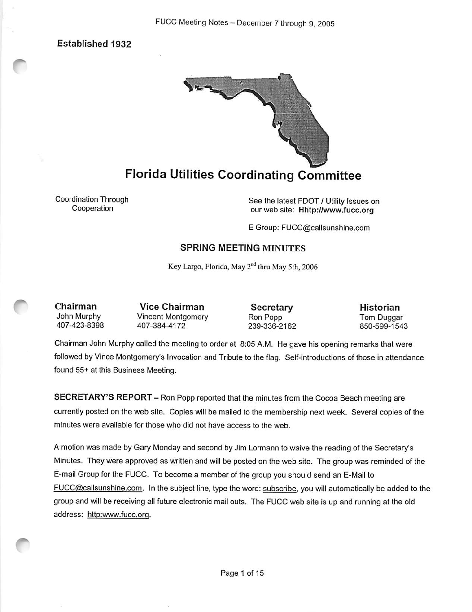Established 1932



## Florida Utilities Coordinating Committee

Coordination Through Cooperation

See the latest FOOT / Utility Issues on our web site: Hhtp://www.fucc.org

E Group; FUCC@callsunshine.com

### SPRING MEETING MINUTES

Key Largo, Florida, May 2<sup>nd</sup> thru May 5th, 2006

Chairman John Murphy 407-423-8398

Vice Chairman Vincent Montgomery 407-384-4172

**Secretary** Ron Popp 239-336-2162 Historian Tom Duggar 850-599-1543

Chairman John Murphy called the meeting to order at 8:05 A.M. He gave his opening remarks that were followed by Vince Montgomery's Invocation and Tribute to the flag. Self-introductions of those in attendance found 55+ at this Business Meeting.

SECRETARY'S REPORT - Ron Popp reported that the minutes from the Cocoa Beach meeting are currently posted on the web site. Copies will be mailed to the membership next week. Several copies of the minutes were available for those who did not have access to the web.

A motion was made by Gary Monday and second by Jim Lormann to waive the reading of the Secretary's Minutes. They were approved as written and will be posted on the web site. The group was reminded of the E-mail Group for the FUCC. To become a member of the group you should send an E-Mail to FUCC@callsunshine.com. In the subject line, type the word: subscribe, you will automatically be added to the group and will be receiving all future electronic mail outs. The FUCC web site is up and running at the old address: http:www.fucc.org.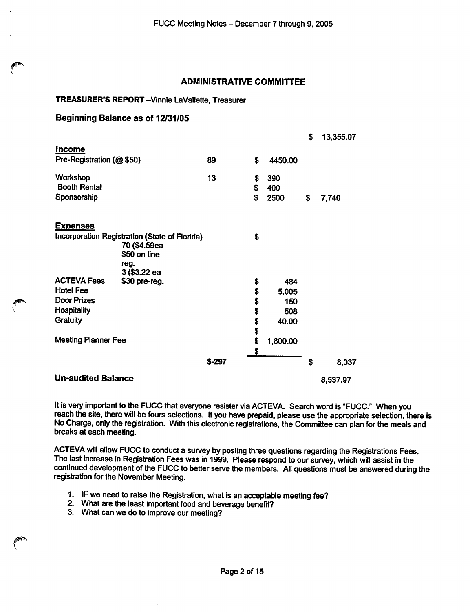#### ADMINISTRATIVE COMMITTEE

#### TREASURER'S REPORT-Vinnie LaVallette, Treasurer

#### Beginning Balance as of 12/31/05

|                                               |                      |         |    |          | \$<br>13,355.07 |
|-----------------------------------------------|----------------------|---------|----|----------|-----------------|
| <u>Income</u>                                 |                      |         |    |          |                 |
| Pre-Registration (@ \$50)                     |                      | 89      | \$ | 4450.00  |                 |
| Workshop                                      |                      | 13      | \$ | 390      |                 |
| <b>Booth Rental</b>                           |                      |         | \$ | 400      |                 |
| Sponsorship                                   |                      |         | \$ | 2500     | \$<br>7,740     |
| <u>Expenses</u>                               |                      |         |    |          |                 |
| Incorporation Registration (State of Florida) |                      |         | \$ |          |                 |
|                                               | 70 (\$4.59ea         |         |    |          |                 |
|                                               | \$50 on line         |         |    |          |                 |
|                                               | reg.<br>3 (\$3.22 ea |         |    |          |                 |
| <b>ACTEVA Fees</b>                            | \$30 pre-reg.        |         | \$ | 484      |                 |
| <b>Hotel Fee</b>                              |                      |         | \$ | 5,005    |                 |
| Door Prizes                                   |                      |         | \$ | 150      |                 |
| <b>Hospitality</b>                            |                      |         | \$ | 508      |                 |
| <b>Gratuity</b>                               |                      |         | \$ | 40.00    |                 |
|                                               |                      |         | \$ |          |                 |
| <b>Meeting Planner Fee</b>                    |                      |         | \$ | 1,800.00 |                 |
|                                               |                      |         | \$ |          |                 |
|                                               |                      | $$-297$ |    |          | \$<br>8,037     |
| <b>Un-audited Balance</b>                     |                      |         |    |          | 8,537.97        |

It is very important to the FUCC that everyone resister via ACTEVA. Search word is "FUCC." When you reach the site, there will be fours selections. If you have prepaid, please use the appropriate selection, there is No Charge, only the registration. With this electronic registrations, the Committee can plan for the meals and breaks at each meeting.

ACTEVA will allow FUCC to conduct a survey by posting three questions regarding the Registrations Fees. The last increase in Registration Fees was in 1999. Please respond to our survey, which will assist in the continued development of the FUCC to better serve the members. All questions must be answered during the registration for the November Meeting.

- 1. IF we need to raise the Registration, what is an acceptable meeting fee?
- 2. What are the least important food and beverage benefit?
- 3. What can we do to improve our meeting?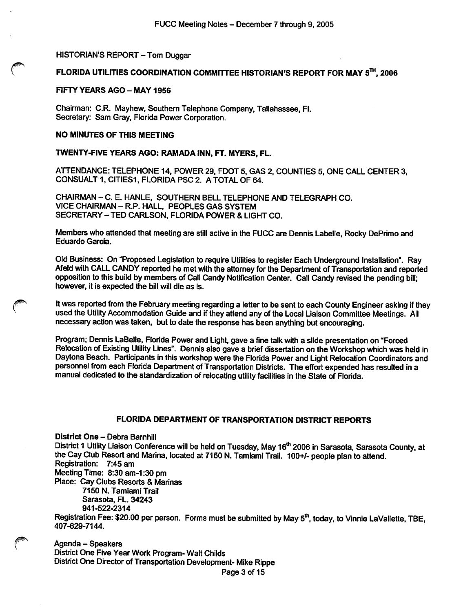#### HISTORIAN'S REPORT - Tom Duggar

#### FLORIDA UTILITIES COORDINATION COMMITTEE HISTORIAN'S REPORT FOR MAY  $5<sup>Th</sup>$ , 2006

#### FIFTY YEARS AGO - MAY 1956

Chairman: C.R. Mayhew, Southern Telephone Company, Tallahassee, Fl. Secretary: Sam Gray, Florida Power Corporation.

#### NO MINUTES OF THIS MEETING

#### TWENTY-FIVE YEARS AGO: RAMADA INN, FT. MYERS, FL.

ATTENDANCE: TELEPHONE 14, POWER 29. FOOT 5, GAS 2, COUNTIES 5, ONE CALL CENTER 3, CONSUALT 1, CITIES1, FLORIDA PSC 2. A TOTAL OF 64.

CHAIRMAN - C. E. HANLE, SOUTHERN BELL TELEPHONE AND TELEGRAPH CO. VICE CHAIRMAN - R.P. HALL, PEOPLES GAS SYSTEM SECRETARY-TED CARLSON, FLORIDA POWER & LIGHT CO.

Members who attended that meeting are still active in the FUCC are Dennis Labelle, Rocky DePrimo and Eduardo Garcia.

Old Business: On "Proposed Legislation to require Utilities to register Each Underground Installation". Ray Afeld wth CALL CANDY reported he met with the attorney for the Department of Transportation and reported opposition to this build by members of Call Candy Notification Center. Call Candy revised the pending bill; however, it is expected the bill will die as is.

It was reported from the February meeting regarding a letter to be sent to each County Engineer asking if they used the Utility Accommodation Guide and if they attend any of the Local Liaison Committee Meetings. All necessary action was taken, but to date the response has been anything but encouraging.

Program; Dennis LaBelle, Florida Power and Light, gave a fine talk with a slide presentation on "Forced Relocation of Existing Utility Lines". Dennis also gave a brief dissertation on the Workshop which was held in Daytona Beach. Participants in this workshop were the Florida Power and Light Relocation Coordinators and personnel from each Florida Department of Transportation Districts. The effort expended has resulted in a manual dedicated to the standardization of relocating utility facilities in the State of Florida.

#### FLORIDA DEPARTMENT OF TRANSPORTATION DISTRICT REPORTS

District One - Debra Barnhill District 1 Utility Liaison Conference will be held on Tuesday, May 16<sup>th</sup> 2006 in Sarasota, Sarasota County, at the Cay Club Resort and Marina, located at 7150 N. Tamiami Trail. 100+/- people plan to attend. Registration: 7:45 am Meeting Time: 8:30 am-1:30 pm Place: Cay Clubs Resorts & Marinas 7150 N. Tamiami Trail Sarasota, FL. 34243 941-522-2314 Registration Fee: \$20.00 per person. Forms must be submitted by May 5<sup>th</sup>, today, to Vinnie LaVallette, TBE,

407-629-7144.

Agenda - Speakers District One Five Year Work Program- Walt Chllds District One Director of Transportation Development- Mike RIppe

Page 3 of 15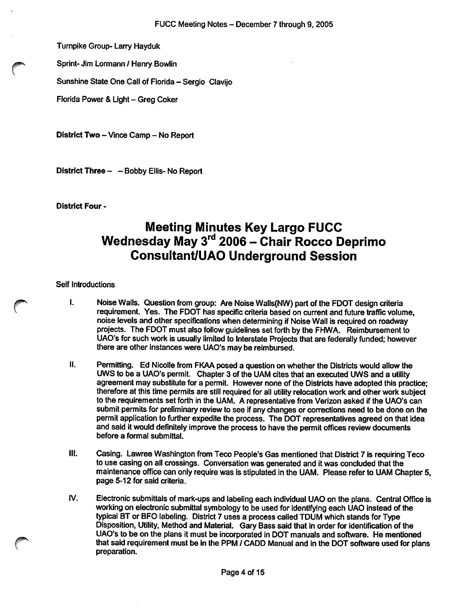Turnpike Group- Larry Hayduk

Sprint- Jim Lormann / Henry Bowlin

Sunshine State One Call of Florida - Sergio Clavijo

Florida Power & Light - Greg Coker

District Two - Vince Camp - No Report

District Three - - Bobby Ellis- No Report

District Four -

## Meeting Minutes Key Largo FUCC Wednesday May 3<sup>rd</sup> 2006 - Chair Rocco Deprimo Consuitant/UAO Underground Session

#### Self Introductions

- I. Noise Walls. Question from group: Are Noise Walls(NW) part of the FDOT design criteria requirement. Yes. The FDOT has specific criteria based on current and future traffic volume, noise levels and other specifications when determining if Noise Wall is required on roadway projects. The FDOT must also follow guidelines set forth by the FHWA. Reimbursement to UAO's for such work is usually limited to Interstate Projects that are federally funded; however there are other instances were UAO's may be reimbursed.
- II. Permitting. Ed Nicolle from FKAA posed a question on whether the Districts would allow the UWS to be a UAO's permit. Chapter 3 of the UAM cites that an executed UWS and a utility agreement may substitute for a permit. However none of the Districts have adopted this practice; therefore at this time permits are still required for all utility relocation work and other work subject to the requirements set forth in the UAM. A representative from Verizon asked if the UAO's can submit permits for preliminary review to see if any changes or corrections need to be done on the permit application to further expedite the process. The DOT representatives agreed on that idea and said it would definitely improve the process to have the permit offices review documents before a formal submittal.
- III. Casing. Lawree Washington from Teco People's Gas mentioned that District 7 is requiring Teco to use casing on all crossings. Conversation was generated and it was concluded that the maintenance office can only require was is stipulated in the UAM. Please refer to UAM Chapter 5, page 5-12 for said criteria.
- IV. Electronic submittals of mark-ups and labeling each individual UAO on the plans. Central Office is working on electronic submittal symbology to be used for identifying each UAO instead of the typical BT or BFO labeling. District 7 uses a process called TDUM which stands for Type Disposition, Utility, Method and Material. Gary Bass said that in order for identification of the UAO's to be on the plans it must be incorporated in DOT manuals and software. He mentioned that said requirement must be in the PPM / CADD Manual and in the DOT software used for plans preparation.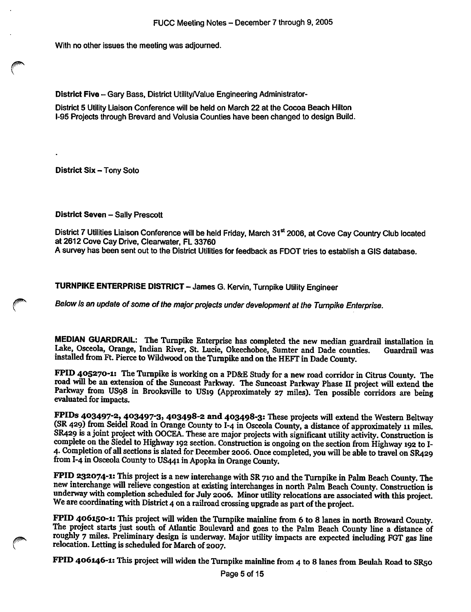With no other issues the meeting was adjourned.

District Five - Gary Bass, District Utility/Value Engineering Administrator-

District 5 Utility Liaison Conference will be held on March 22 at the Cocoa Beach Hilton 1-95 Projects through Brevard and Volusia Counties have been changed to design Build.

District Six - Tony Soto

District Seven - Sally Prescott

District 7 Utilities Liaison Conference will be held Friday, March 31<sup>st</sup> 2006, at Cove Cay Country Club located at 2612 Cove Cay Drive, Clearwater, FL 33760

A survey has been sent out to the District Utilities for feedback as FDOT tries to establish a GIS database.

TURNPIKE ENTERPRISE DISTRICT - James G. Kervin, Turnpike Utility Engineer

Befow is an update of some of the major projects under development at the Turnpike Enterprise.

MEDIAN GUARDRAIL: The Turnpike Enterprise has completed the new median guardrail installation in Lake, Osceola, Orange, Indian River, St. Lucie, Okeechobee, Sumter and Dade counties. Guardrail was installed from Ft. Pierce to Wildwood on the Turnpike and on the HEFT in Dade County.

FPID 405270-1: The Turnpike is working on a PD&E Study for a new road corridor in Citrus County. The road will be an extension of the Suncoast Parkway. The Suncoast Parkway Phase U project will extend the Parkway from US98 in Brooksville to US19 (Approximately 27 miles). Ten possible corridors are being evaluated for impacts.

FPIDs 403497-2, 403497-3, 403498-2 and 403498-3: These projects will extend the Western Beltway (SR 429) from Seidel Road in Orange County to I-4 in Osceola County, a distance of approximately 11 miles. SR429 is a joint project with OOCEA. These are major projects with significant utility activity. Construction is complete on the Siedel to Highway 192 section. Construction is ongoing on the section from Highway 192 to I-4- Completion of all sections is slated for December 2006. Once completed, you will be able to travel on SR429 from I-4 in Osceola County to US441 in Apopka in Orange County.

FPID 232074-1: This project is a new interchange with SR 710 and the Turnpike in Palm Beach County. The new interchange will relieve congestion at existing interchanges in north Palm Beach County. Construction is underway with completion scheduled for July 2006. Minor utility relocations are associated with this project. We are coordinating with District 4 on a railroad crossing upgrade as part of the project.

FPID 406150-1: This project will widen the Turnpike mainline from 6 to 8 lanes in north Broward County. The project starts just south of Atlantic Boulevard and goes to the Palm Beach County line a distance of roughly 7 miles. Preliminary design is underway. Major utility impacts are expected including FGT gas line relocation. Letting is scheduled for March of 2007.

FPID 406146-1: This project will widen the Turnpike mainline from 4 to 8 lanes from Beulah Road to SR50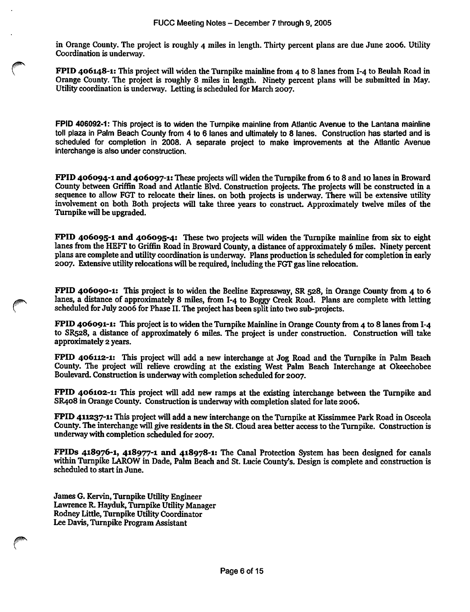in Orange County. The project is roughly 4 miles in length. Thirty percent plans are due June 2006. Utility Coordination is underway.

FPID 406148-1: This project wUl widen the Turnpike mainline from 4 to 8 lanes from I-4 to Beulah Road in Orange County. The project is roughly 8 miles in length. Ninety percent plans will be submitted in May. Utility coordination is underway. Letting is scheduled for March 2007.

FPID 406092-1: This project is to widen the Turnpike mainline from Atlantic Avenue to the Lantana mainline toll plaza in Palm Beach County from 4 to 6 lanes and ultimately to 8 lanes. Construction has started and is scheduled for completion in 2008. A separate project to make improvements at the Atlantic Avenue interchange is also under construction.

FPID 406094-1 and 406097-1: These projects will widen the Turnpike from 6 to 8 and 10 lanes in Broward County between Griffin Road and Atlantic Blvd. Construction projects. The projects will be constructed in a sequence to allow FGT to relocate their lines, on both projects is underway. There will be extensive utility involvement on both Both projects will take three years to construct. Approximately twelve miles of the Turnpike will be upgraded.

FPID 406095-1 and 406095-4: These two projects will widen the Turnpike mainline from six to eight lanes from the HEFT to Griffin Road in Broward County, a distance of approximately 6 miles. Ninety percent plans are complete and utility coordination is underway. Plans production is scheduled for completion in early 2007. Extensive utility relocations will be required, including the FGT gas line relocation.

FPID 406090-1: This project is to widen the Beeline Expressway, SR 528, in Orange County from 4 to 6 lanes, a distance of approximately 8 miles, from I-4 to Boggy Creek Road. Plans are complete with letting scheduled for July 2006 for Phase II. The project has been split into two sub-projects.

FPID 406091-1: This project is to widen the Turnpike Mainline in Orange County from 4 to 8 lanes from I-4 to SR528, a distance of approximately 6 miles. The project is under construction. Construction will take approximately 2 years.

FPID 406112-1: This project will add a new interchange at Jog Road and the Turnpike in Palm Beach County. The project will relieve crowding at the existing West Palm Beach Interchange at Okeechobee Boulevard. Construction is underway with completion scheduled for 2007.

FPID 406102-1: This project will add new ramps at the existing interchange between the Turnpike and SR408 in Orange County. Construction is underway with completion slated for late 2006.

FPID 411237-1: This project will add a new interchange on the Turnpike at Kissimmee Park Road in Osceola County. The interchange will give residents in the St. Cloud area better access to the Turnpike. Construction is underway with completion scheduled for 2007.

FPIDs 418976-1, 418977-1 and 418978-1: The Canal Protection System has been designed for canals within Turnpike LAROW in Dade, Palm Beach and St. Lucie County's. Design is complete and construction is scheduled to start in June.

James G. Kervin, Turnpike Utility Engineer Lawrence R. Hayduk, Turnpike Utility Manager Rodney Little, Turnpike Utility Coordinator Lee Davis, Turnpike Program Assistant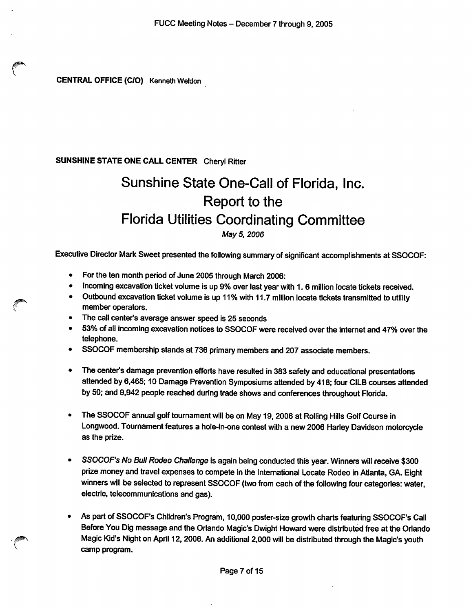CENTRAL OFFICE (C/0) Kenneth Weldon

#### SUNSHINE STATE ONE CALL CENTER Cheryl Ritter

# Sunshine State One-Call of Florida, Inc. Report to the Florida Utilities Coordinating Committee May 5, 2006

Executive Director Mark Sweet presented the following summary of significant accomplishments at SSOCOF:

- For the ten month period of June 2005 through March 2006:
- Incoming excavation ticket volume is up 9% over last year with 1. 6 million locate tickets received.
- Outbound excavation ticket volume is up 11% with 11.7 million locate tickets transmitted to utility member operators.
- The call center's average answer speed is 25 seconds
- 53% of ail Incoming excavation notices to SSOCOF were received over the Internet and 47% over the telephone.
- SSOCOF membership stands at 736 primary members and 207 associate members.
- The center's damage prevention efforts have resulted in 383 safety and educational presentations attended by 6,465; 10 Damage Prevention Symposiums attended by 418; four CILB courses attended by 50; and 9,942 people reached during trade shows and conferences throughout Florida.
- The SSOCOF annual golf tournament will be on May 19, 2006 at Rolling Hills Golf Course in Longwood. Tournament features a hole-in-one contest with a new 2006 Harley Davidson motorcycle as the prize.
- SSOCOF's No Bull Rodeo Challenge is again being conducted this year. Winners will receive \$300 prize money and travel expenses to compete in the International Locate Rodeo in Atlanta, GA. Eight winners will be selected to represent SSOCOF (two from each of the following four categories: water, electric, teiecommunlcations and gas).
- As part of SSOCOF's Children's Program, 10,000 poster-size growth charts featuring SSOCOF's Call Before You Dig message and the Orlando Magic's Dwight Howard were distributed free at the Oriando Magic Kid's Night on April 12,2006. An additional 2,000 will be distributed through the Magic's youth camp program.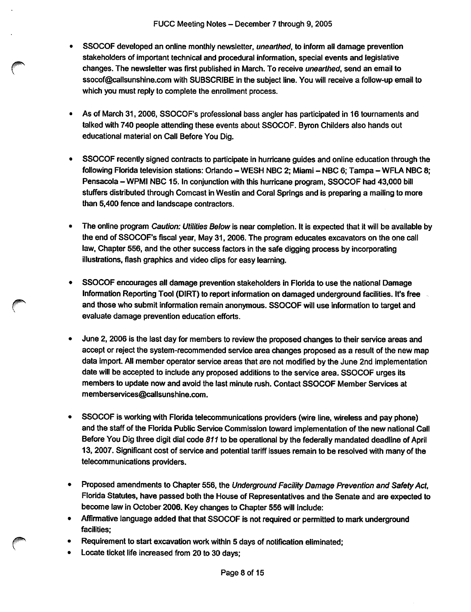- SSOCOF developed an online monthly newsletter, unearthed, to inform all damage prevention stakeholders of important technical and procedural information, special events and legislative changes. The newsletter was first published in March. To receive unearthed, send an email to ssocof@callsunshine.com with SUBSCRIBE in the subject line. You will receive a follow-up email to which you must reply to complete the enrollment process.
- As of March 31,2006, SSOCOF's professional bass angler has participated in 16 tournaments and talked with 740 people attending these events about SSOCOF. Byron Childers also hands out educational material on Call Before You Dig.
- SSOCOF recently signed contracts to participate in hurricane guides and online education through the following Florida television stations: Orlando - WESH NBC 2; Miami - NBC 6; Tampa - WFLA NBC 8; Pensacola - WPMI NBC 15. In conjunction with this hurricane program, SSOCOF had 43,000 bill stuffers distributed through Comcast in Westin and Coral Springs and is preparing a mailing to more than 5,400 fence and landscape contractors.
- The online program Caution: Utilities Below is near completion. It is expected that it will be available by the end of SSOCOF's fiscal year, May 31, 2006. The program educates excavators on the one call law. Chapter 556, and the other success factors in the safe digging process by incorporating illustrations, flash graphics and video clips for easy learning.
- SSOCOF encourages all damage prevention stakeholders in Florida to use the national Damage Information Reporting Tool (DIRT) to report information on damaged underground facilities. It's free and those who submit information remain anonymous. SSOCOF will use information to target and evaluate damage prevention education efforts.
- June 2, 2006 is the last day for members to review the proposed changes to their service areas and accept or reject the system-recommended service area changes proposed as a result of the new map data import. All member operator service areas that are not modified by the June 2nd implementation date will be accepted to include any proposed additions to the service area. SSOCOF urges its members to update now and avoid the last minute rush. Contact SSOCOF Member Services at memberservices@callsunshine.com.
- SSOCOF is working with Florida telecommunications providers (wire line, wireless and pay phone)  $\bullet$ and the staff of the Florida Public Service Commission toward implementation of the new national Call Before You Dig three digit dial code 811 to be operational by the federally mandated deadline of April 13, 2007. Significant cost of service and potential tariff issues remain to be resolved with many of the telecommunications providers.
- $\bullet$ Proposed amendments to Chapter 556, the Underground Facility Damage Prevention and Safety Act. Florida Statutes, have passed both the House of Representatives and the Senate and are expected to become law in October 2006. Key changes to Chapter 556 will include:
- Affirmative language added that that SSOCOF is not required or permitted to mark underground facilities;
- Requirement to start excavation work within 5 days of notification eliminated;
- Locate ticket life increased from 20 to 30 days;  $\bullet$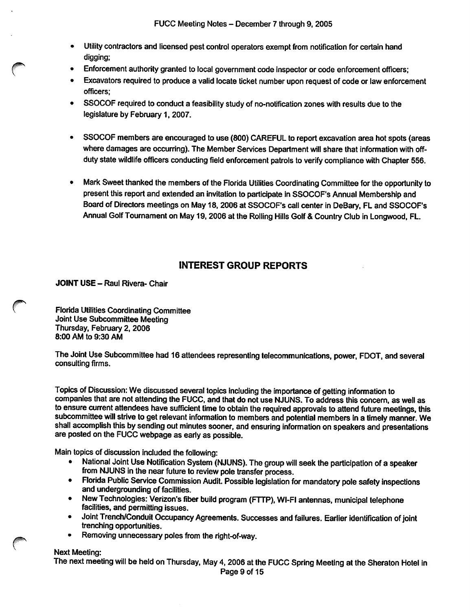- Utility contractors and licensed pest control operators exempt from notification for certain hand digging:
- Enforcement authority granted to local government code inspector or code enforcement officers;
- Excavators required to produce a valid locate ticket number upon request of code or law enforcement officers;
- SSOCOF required to conduct a feasibility study of no-notification zones with results due to the legislature by February 1, 2007.
- SSOCOF members are encouraged to use (800) CAREFUL to report excavation area hot spots (areas where damages are occurring). The Member Services Department will share that information with offduty state wildlife officers conducting field enforcement patrols to verify compliance with Chapter 556.
- Mark Sweet thanked the members of the Florida Utilities Coordinating Committee for the opportunity to present this report and extended an invitation to participate in SSOCOF's Annual Membership and Board of Directors meetings on May 18, 2006 at SSOCOF's call center in DeBary, FL and SSOCOF's Annual Golf Tournament on May 19,2006 at the Rolling Hills Golf & Country Club in Longwood, FL.

## INTEREST GROUP REPORTS

JOINT USE - Raul Rivera- Chair

Florida Utilities Coordinating Committee Joint Use Subcommittee Meeting Thursday, February 2, 2006 8:00 AM to 9:30 AM

The Joint Use Subcommittee had 16 attendees representing telecommunications, power, FDOT, and several consulting firms.

Topics of Discussion: We discussed several topics including the importance of getting information to companies that are not attending the FUCC, and that do not use NJUNS. To address this concern, as well as to ensure current attendees have sufficient time to obtain the required approvals to attend future meetings, this subcommittee will strive to get relevant information to members and potential members in a timely manner. We shall accomplish this by sending out minutes sooner, and ensuring information on speakers and presentations are posted on the FUCC webpage as early as possible.

Main topics of discussion included the following:

- National Joint Use Notification System (NJUNS). The group will seek the participation of a speaker from NJUNS in the near future to review pole transfer process.
- Florida Public Service Commission Audit. Possible legislation for mandatory pole safety inspections and undergrounding of facilities.
- New Technologies: Verizon's fiber build program (FTTP), WI-FI antennas, municipal telephone facilities, and permitting issues.
- Joint Trench/Conduit Occupancy Agreements. Successes and failures. Earlier identification of joint trenching opportunities.
- Removing unnecessary poles from the right-of-way.

#### Next Meeting:

The next meeting will be held on Thursday, May 4, 2006 at the FUCC Spring Meeting at the Sheraton Hotel in Page 9 of 15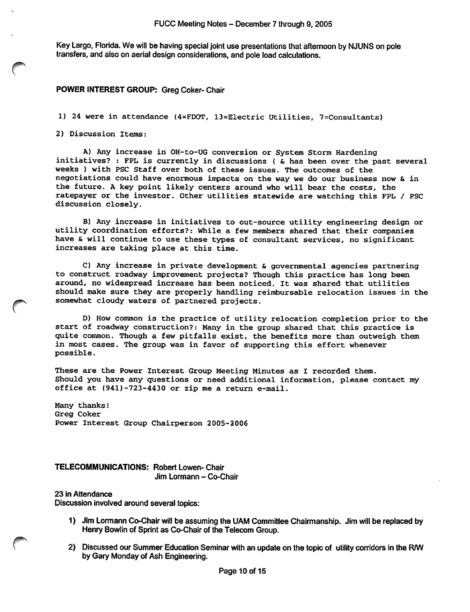Key Largo, Florida. We will be having special joint use presentations that afternoon by NJUNS on pole transfers, and also on aerial design considerations, and pole load calculations.

#### POWER INTEREST GROUP: Greg Coker- Chair

1) 24 were in attendance (4=FD0T, 13=Electric Utilities, 7=Consultants)

2) Discussion Items:

A) Any increase in OH-to-UG conversion or System Storm Hardening initiatives? : FPL is currently in discussions { & has been over the past several weeks ) with PSC Staff over both of these issues. The outcomes of the negotiations could have enormous impacts on the way we do our business now & in the future. A key point likely centers around who will bear the costs, the ratepayer or the investor. Other utilities statewide are watching this FPL / PSC discussion closely.

B) Any increase in initiatives to out-source utility engineering design or utility coordination efforts?: While a few members shared that their companies have & will continue to use these types of consultant services, no significant increases are taking place at this time.

C) Any increase in private development & governmental agencies partnering to construct roadway improvement projects? Though this practice has long been around, no widespread increase has been noticed. It was shared that utilities should make sure they are properly handling reimbursable relocation issues in the somewhat cloudy waters of partnered projects.

D) How common is the practice of utility relocation completion prior to the start of roadway construction?: Many in the group shared that this practice is quite common. Though a few pitfalls exist, the benefits more than outweigh them in most cases. The group was in favor of supporting this effort whenever possible.

These are the Power Interest Group Meeting Minutes as I recorded them. Should you have any questions or need additional information, please contact my office at (941)-723-4430 or zip me a return e-mail.

Many thanks! Greg Coker Power Interest Group Chairperson 2005-2006

TELECOMMUNICATIONS: Robert Lowen- Chair Jim Lormann - Co-Chair

23 in Attendance

Discussion involved around several topics:

- 1) Jim Lormann Co-Chair will be assuming the UAM Committee Chairmanship. Jim will be replaced by Henry Bowlin of Sprint as Co-Chair of the Telecom Group.
- 2) Discussed our Summer Education Seminar with an update on the topic of utility corridors in the R/W by Gary Monday of Ash Engineering.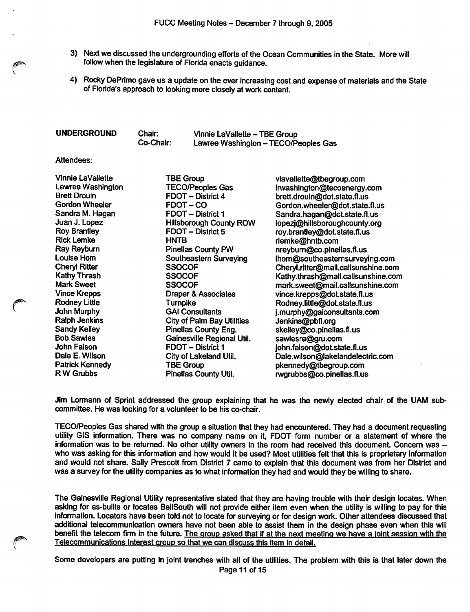- 3) Next we discussed the undergrounding efforts of the Ocean Communities in the State. More will follow when the legislature of Florida enacts guidance.
- 4) Rocky DePrimo gave us a update on the ever increasing cost and expense of materials and the State of Florida's approach to looking more closely at work content.

| <b>UNDERGROUND</b><br>Chair:<br>Co-Chair: | Vinnie LaVallette - TBE Group<br>Lawree Washington - TECO/Peoples Gas |
|-------------------------------------------|-----------------------------------------------------------------------|
|-------------------------------------------|-----------------------------------------------------------------------|

Attendees:

| Vinnie LaVallette      | <b>TBE Group</b>                  | vlavallette@tbegroup.com            |
|------------------------|-----------------------------------|-------------------------------------|
| Lawree Washington      | <b>TECO/Peoples Gas</b>           | Irwashington@tecoenergy.com         |
| <b>Brett Drouin</b>    | <b>FDOT</b> - District 4          | brett.drouin@dot.state.fl.us        |
| <b>Gordon Wheeler</b>  | <b>FDOT-CO</b>                    | Gordon.wheeler@dot.state.fl.us      |
| Sandra M. Hagan        | FDOT - District 1                 | Sandra.hagan@dot.state.fl.us        |
| Juan J. Lopez          | <b>Hillsborough County ROW</b>    | lopezj@hillsboroughcounty.org       |
| <b>Roy Brantley</b>    | FDOT - District 5                 | roy.brantley@dot.state.fl.us        |
| <b>Rick Lemke</b>      | <b>HNTB</b>                       | rlemke@hntb.com                     |
| Ray Reyburn            | <b>Pinellas County PW</b>         | nreyburn@co.pinellas.fl.us          |
| Louise Hom             | Southeastern Surveying            | Ihom@southeasternsurveying.com      |
| <b>Cheryl Ritter</b>   | <b>SSOCOF</b>                     | Cheryl.ritter@mail.callsunshine.com |
| Kathy Thrash           | <b>SSOCOF</b>                     | Kathy.thrash@mail.callsunshine.com  |
| <b>Mark Sweet</b>      | <b>SSOCOF</b>                     | mark.sweet@mail.callsunshine.com    |
| <b>Vince Krepps</b>    | <b>Draper &amp; Associates</b>    | vince.krepps@dot.state.fl.us        |
| <b>Rodney Little</b>   | <b>Turnpike</b>                   | Rodney.little@dot.state.fl.us       |
| John Murphy            | <b>GAI Consultants</b>            | j.murphy@gaiconsultants.com         |
| <b>Ralph Jenkins</b>   | <b>City of Palm Bay Utilities</b> | Jenkins@pbfl.org                    |
| <b>Sandy Kelley</b>    | <b>Pinellas County Eng.</b>       | skelley@co.pinellas.fl.us           |
| <b>Bob Sawles</b>      | Gainesville Regional Util.        | sawlesra@gru.com                    |
| John Faison            | FDOT - District 1                 | john.faison@dot.state.fl.us         |
| Dale E. Wilson         | City of Lakeland Util.            | Dale.wilson@lakelandelectric.com    |
| <b>Patrick Kennedy</b> | <b>TBE Group</b>                  | pkennedy@tbegroup.com               |
| R W Grubbs             | Pinellas County Util.             | rwgrubbs@co.pinellas.fl.us          |

Jim Lormann of Sprint addressed the group explaining that he was the newly elected chair of the UAM sub committee. He was looking for a volunteer to be his co-chair.

TECO/Peoples Gas shared with the group a situation that they had encountered. They had a document requesting utility GIS information. There was no company name on it, FOOT form number or a statement of where the information was to be returned. No other utility owners in the room had received this document. Concern was who was asking for this information and how would it be used? Most utilities felt that this is proprietary information and would not share. Sally Prescott from District 7 came to explain that this document was from her District and was a survey for the utility companies as to what information they had and would they be willing to share.

The Gainesville Regional Utility representative stated that they are having trouble with their design locates. When asking for as-builts or locates BellSouth will not provide either item even when the utility is willing to pay for this information. Locators have been told not to locate for surveying or for design work. Other attendees discussed that additional telecommunication owners have not been able to assist them in the design phase even when this will benefit the telecom firm in the future. The group asked that if at the next meeting we have a joint session with the Telecommunications Interest arouo so that we can discuss this item in detail.

Some developers are putting in joint trenches with all of the utilities. The problem with this is that later down the Page 11 of 15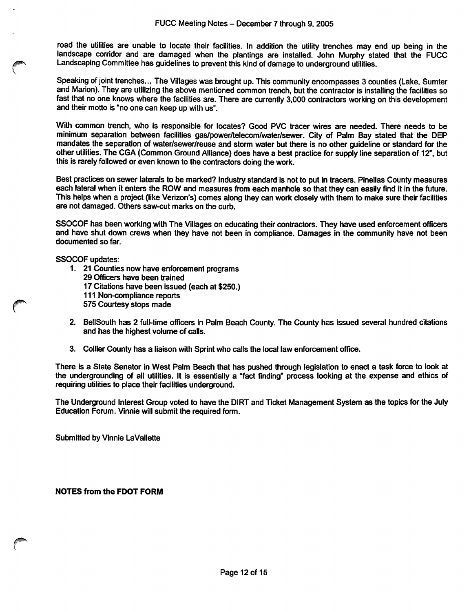road the utilities are unable to locate their facilities. In addition the utility trenches may end up being in the landscape corridor and are damaged when the plantings are installed. John Murphy stated that the FUCC Landscaping Committee has guidelines to prevent this kind of damage to underground utilities.

Speaking of joint trenches... The Villages was brought up. This community encompasses 3 counties (Lake, Sumter and Marion). They are utilizing the above mentioned common trench, but the contractor is installing the facilities so fast that no one knows where the facilities are. There are currently 3,000 contractors working on this development and their motto is "no one can keep up with us".

With common trench, who is responsible for locates? Good PVC tracer wires are needed. There needs to be minimum separation between facilities gas/power/telecom/water/sewer. City of Palm Bay stated that the DEP mandates the separation of water/sewer/reuse and storm water but there is no other guideline or standard for the other utilities. The CGA (Common Ground Alliance) does have a best practice for supply line separation of 12°, but this is rarely followed or even known to the contractors doing the work.

Best practices on sewer laterals to be marked? Industry standard is not to put in tracers. Pineilas County measures each lateral when it enters the ROW and measures from each manhole so that they can easily find it in the future. This helps when a project (like Verizon's) comes along they can work closely with them to make sure their facilities are not damaged. Others saw-cut marks on the curb.

SSOCOF has been working with The Villages on educating their contractors. They have used enforcement officers and have shut down crews when they have not been in compliance. Damages in the community have not been documented so far.

SSOCOF updates:

- 1. 21 Counties now have enforcement programs 29 Officers have been trained 17 Citations have been issued (each at \$250.) 111 Non-compliance reports 575 Courtesy stops made
- 2. Bellsouth has 2 full-time officers in Palm Beach County. The County has issued several hundred citations and has the highest volume of calls.
- 3. Collier County has a liaison with Sprint who calls the local law enforcement office.

There is a State Senator in West Palm Beach that has pushed through legislation to enact a task force to look at the undergrounding of all utilities. It is essentially a "fact finding" process looking at the expense and ethics of requiring utilities to place their facilities underground.

The Underground Interest Group voted to have the DIRT and Ticket Management System as the topics for the July Education Forum. Vinnle will submit the required form.

Submitted by Vinnie LaVallette

NOTES from the FOOT FORM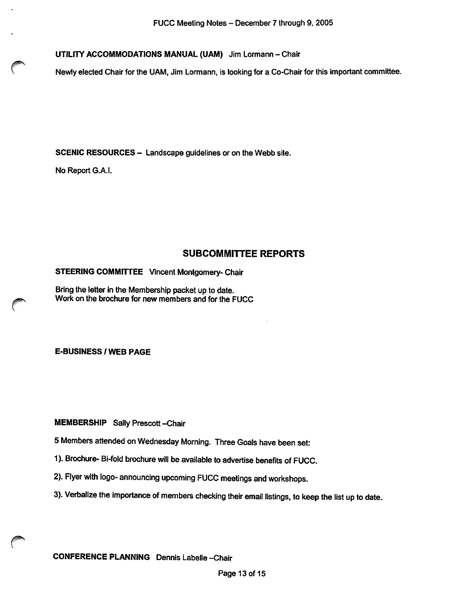UTILITY ACCOMMODATIONS MANUAL (UAM) Jim Lormann - Chair

Newly elected Chair for the UAM, Jim Lormann, is looking for a Co-Chair for this important committee.

SCENIC RESOURCES - Landscape guidelines or on the Webb site.

No Report G.A.I.

#### SUBCOMMITTEE REPORTS

STEERING COMMITTEE Vincent Montgomery- Chair

Bring the letter in the Membership packet up to date. Work on the brochure for new members and for the FUCC

E-BUSINESS / WEB PAGE

MEMBERSHIP Sally Prescott-Chair

5 Members attended on Wednesday Morning. Three Goals have been set:

- 1). Brochure- Bi-fold brochure will be available to advertise benefits of FUCC.
- 2). Flyer with logo- announcing upcoming FUCC meetings and workshops.
- 3). Verbalize the importance of members checking their email listings, to keep the list up to date.

CONFERENCE PLANNING Dennis Labelle -Chair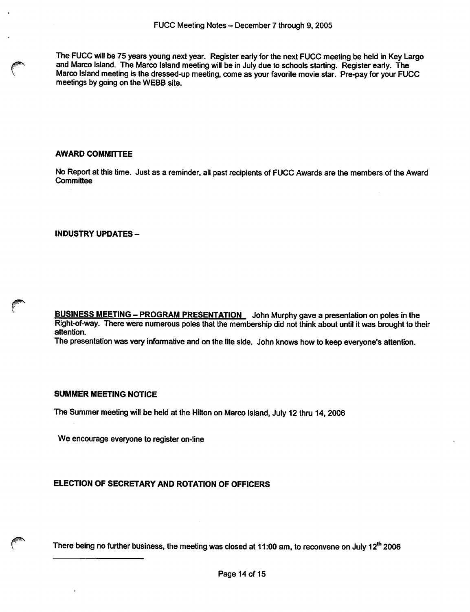The FUCC will be 75 years young next year. Register early for the next FUCC meeting be held in Key Largo and Marco Island. The Marco Island meeting will be in July due to schools starting. Register early. The Marco Island meeting is the dressed-up meeting, come as your favorite movie star. Pre-pay for your FUCC meetings by going on the WEBB site.

#### AWARD COMMITTEE

No Report at this time. Just as a reminder, ail past recipients of FUCC Awards are the members of the Award **Committee** 

INDUSTRY UPDATES-

BUSINESS MEETING - PROGRAM PRESENTATION John Murphy gave a presentation on poles in the Right-of-way. There were numerous poles that the membership did not think about until it was brought to their attention.

The presentation was very informative and on the lite side. John knows how to keep everyone's attention.

#### SUMMER MEETING NOTICE

The Summer meeting will be held at the Hilton on Marco Island, July 12 thru 14, 2006

We encourage everyone to register on-line

### ELECTION OF SECRETARY AND ROTATION OF OFFICERS

There being no further business, the meeting was closed at 11:00 am, to reconvene on July 12<sup>th</sup> 2006